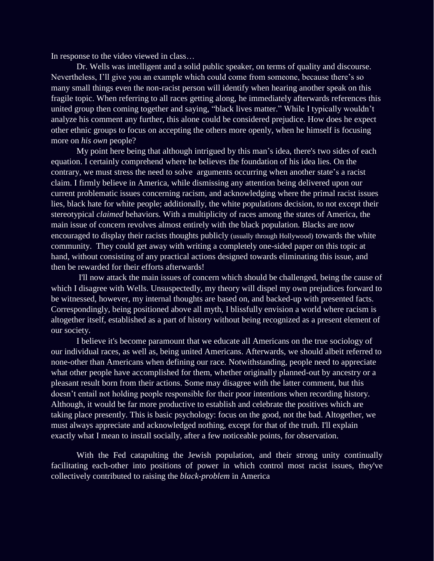In response to the video viewed in class…

Dr. Wells was intelligent and a solid public speaker, on terms of quality and discourse. Nevertheless, I'll give you an example which could come from someone, because there's so many small things even the non-racist person will identify when hearing another speak on this fragile topic. When referring to all races getting along, he immediately afterwards references this united group then coming together and saying, "black lives matter." While I typically wouldn't analyze his comment any further, this alone could be considered prejudice. How does he expect other ethnic groups to focus on accepting the others more openly, when he himself is focusing more on *his own* people?

My point here being that although intrigued by this man's idea, there's two sides of each equation. I certainly comprehend where he believes the foundation of his idea lies. On the contrary, we must stress the need to solve arguments occurring when another state's a racist claim. I firmly believe in America, while dismissing any attention being delivered upon our current problematic issues concerning racism, and acknowledging where the primal racist issues lies, black hate for white people; additionally, the white populations decision, to not except their stereotypical *claimed* behaviors. With a multiplicity of races among the states of America, the main issue of concern revolves almost entirely with the black population. Blacks are now encouraged to display their racists thoughts publicly (usually through Hollywood) towards the white community. They could get away with writing a completely one-sided paper on this topic at hand, without consisting of any practical actions designed towards eliminating this issue, and then be rewarded for their efforts afterwards!

I'll now attack the main issues of concern which should be challenged, being the cause of which I disagree with Wells. Unsuspectedly, my theory will dispel my own prejudices forward to be witnessed, however, my internal thoughts are based on, and backed-up with presented facts. Correspondingly, being positioned above all myth, I blissfully envision a world where racism is altogether itself, established as a part of history without being recognized as a present element of our society.

I believe it's become paramount that we educate all Americans on the true sociology of our individual races, as well as, being united Americans. Afterwards, we should albeit referred to none-other than Americans when defining our race. Notwithstanding, people need to appreciate what other people have accomplished for them, whether originally planned-out by ancestry or a pleasant result born from their actions. Some may disagree with the latter comment, but this doesn't entail not holding people responsible for their poor intentions when recording history. Although, it would be far more productive to establish and celebrate the positives which are taking place presently. This is basic psychology: focus on the good, not the bad. Altogether, we must always appreciate and acknowledged nothing, except for that of the truth. I'll explain exactly what I mean to install socially, after a few noticeable points, for observation.

With the Fed catapulting the Jewish population, and their strong unity continually facilitating each-other into positions of power in which control most racist issues, they've collectively contributed to raising the *black-problem* in America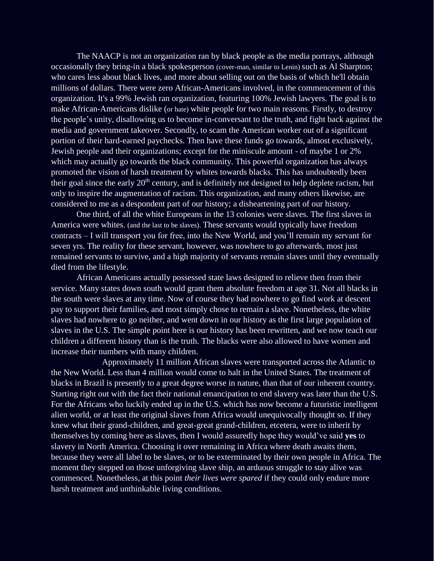The NAACP is not an organization ran by black people as the media portrays, although occasionally they bring-in a black spokesperson (cover-man, similar to Lenin) such as Al Sharpton; who cares less about black lives, and more about selling out on the basis of which he'll obtain millions of dollars. There were zero African-Americans involved, in the commencement of this organization. It's a 99% Jewish ran organization, featuring 100% Jewish lawyers. The goal is to make African-Americans dislike (or hate) white people for two main reasons. Firstly, to destroy the people's unity, disallowing us to become in-conversant to the truth, and fight back against the media and government takeover. Secondly, to scam the American worker out of a significant portion of their hard-earned paychecks. Then have these funds go towards, almost exclusively, Jewish people and their organizations; except for the miniscule amount - of maybe 1 or 2% which may actually go towards the black community. This powerful organization has always promoted the vision of harsh treatment by whites towards blacks. This has undoubtedly been their goal since the early  $20<sup>th</sup>$  century, and is definitely not designed to help deplete racism, but only to inspire the augmentation of racism. This organization, and many others likewise, are considered to me as a despondent part of our history; a disheartening part of our history.

One third, of all the white Europeans in the 13 colonies were slaves. The first slaves in America were whites. (and the last to be slaves). These servants would typically have freedom contracts – I will transport you for free, into the New World, and you'll remain my servant for seven yrs. The reality for these servant, however, was nowhere to go afterwards, most just remained servants to survive, and a high majority of servants remain slaves until they eventually died from the lifestyle.

African Americans actually possessed state laws designed to relieve then from their service. Many states down south would grant them absolute freedom at age 31. Not all blacks in the south were slaves at any time. Now of course they had nowhere to go find work at descent pay to support their families, and most simply chose to remain a slave. Nonetheless, the white slaves had nowhere to go neither, and went down in our history as the first large population of slaves in the U.S. The simple point here is our history has been rewritten, and we now teach our children a different history than is the truth. The blacks were also allowed to have women and increase their numbers with many children.

Approximately 11 million African slaves were transported across the Atlantic to the New World. Less than 4 million would come to halt in the United States. The treatment of blacks in Brazil is presently to a great degree worse in nature, than that of our inherent country. Starting right out with the fact their national emancipation to end slavery was later than the U.S. For the Africans who luckily ended up in the U.S. which has now become a futuristic intelligent alien world, or at least the original slaves from Africa would unequivocally thought so. If they knew what their grand-children, and great-great grand-children, etcetera, were to inherit by themselves by coming here as slaves, then I would assuredly hope they would've said **yes** to slavery in North America. Choosing it over remaining in Africa where death awaits them, because they were all label to be slaves, or to be exterminated by their own people in Africa. The moment they stepped on those unforgiving slave ship, an arduous struggle to stay alive was commenced. Nonetheless, at this point *their lives were spared* if they could only endure more harsh treatment and unthinkable living conditions.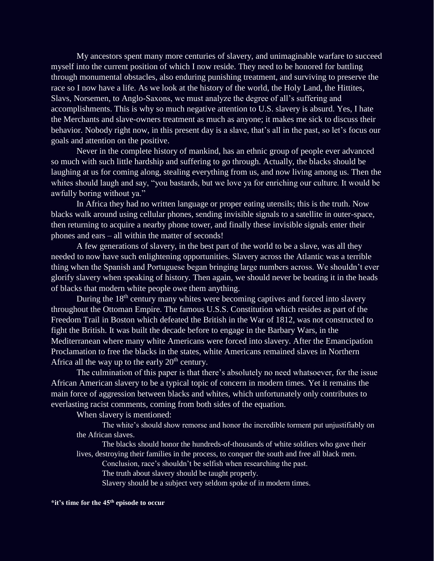My ancestors spent many more centuries of slavery, and unimaginable warfare to succeed myself into the current position of which I now reside. They need to be honored for battling through monumental obstacles, also enduring punishing treatment, and surviving to preserve the race so I now have a life. As we look at the history of the world, the Holy Land, the Hittites, Slavs, Norsemen, to Anglo-Saxons, we must analyze the degree of all's suffering and accomplishments. This is why so much negative attention to U.S. slavery is absurd. Yes, I hate the Merchants and slave-owners treatment as much as anyone; it makes me sick to discuss their behavior. Nobody right now, in this present day is a slave, that's all in the past, so let's focus our goals and attention on the positive.

Never in the complete history of mankind, has an ethnic group of people ever advanced so much with such little hardship and suffering to go through. Actually, the blacks should be laughing at us for coming along, stealing everything from us, and now living among us. Then the whites should laugh and say, "you bastards, but we love ya for enriching our culture. It would be awfully boring without ya."

In Africa they had no written language or proper eating utensils; this is the truth. Now blacks walk around using cellular phones, sending invisible signals to a satellite in outer-space, then returning to acquire a nearby phone tower, and finally these invisible signals enter their phones and ears – all within the matter of seconds!

A few generations of slavery, in the best part of the world to be a slave, was all they needed to now have such enlightening opportunities. Slavery across the Atlantic was a terrible thing when the Spanish and Portuguese began bringing large numbers across. We shouldn't ever glorify slavery when speaking of history. Then again, we should never be beating it in the heads of blacks that modern white people owe them anything.

During the 18<sup>th</sup> century many whites were becoming captives and forced into slavery throughout the Ottoman Empire. The famous U.S.S. Constitution which resides as part of the Freedom Trail in Boston which defeated the British in the War of 1812, was not constructed to fight the British. It was built the decade before to engage in the Barbary Wars, in the Mediterranean where many white Americans were forced into slavery. After the Emancipation Proclamation to free the blacks in the states, white Americans remained slaves in Northern Africa all the way up to the early  $20<sup>th</sup>$  century.

The culmination of this paper is that there's absolutely no need whatsoever, for the issue African American slavery to be a typical topic of concern in modern times. Yet it remains the main force of aggression between blacks and whites, which unfortunately only contributes to everlasting racist comments, coming from both sides of the equation.

When slavery is mentioned:

The white's should show remorse and honor the incredible torment put unjustifiably on the African slaves.

The blacks should honor the hundreds-of-thousands of white soldiers who gave their lives, destroying their families in the process, to conquer the south and free all black men.

Conclusion, race's shouldn't be selfish when researching the past.

The truth about slavery should be taught properly.

Slavery should be a subject very seldom spoke of in modern times.

## **\*it's time for the 45th episode to occur**